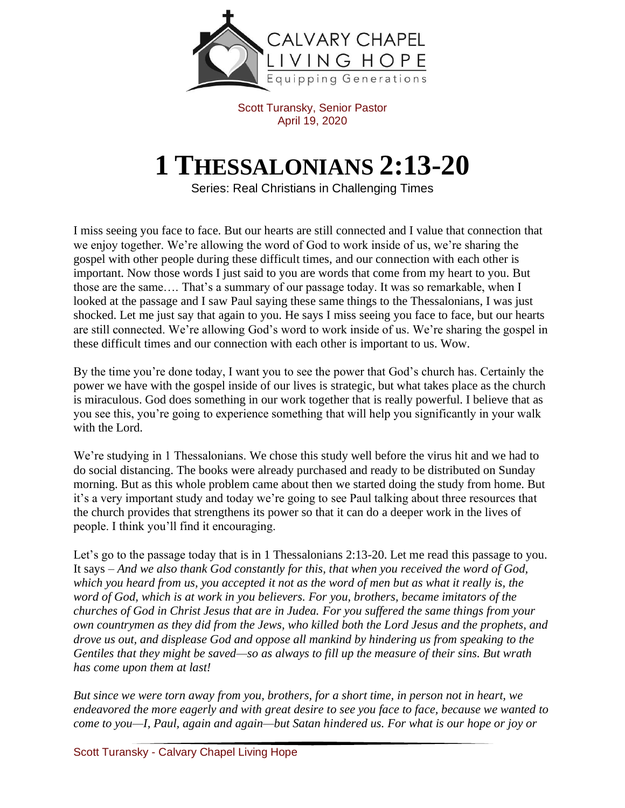

Scott Turansky, Senior Pastor April 19, 2020

## **1 THESSALONIANS 2:13-20**

Series: Real Christians in Challenging Times

I miss seeing you face to face. But our hearts are still connected and I value that connection that we enjoy together. We're allowing the word of God to work inside of us, we're sharing the gospel with other people during these difficult times, and our connection with each other is important. Now those words I just said to you are words that come from my heart to you. But those are the same…. That's a summary of our passage today. It was so remarkable, when I looked at the passage and I saw Paul saying these same things to the Thessalonians, I was just shocked. Let me just say that again to you. He says I miss seeing you face to face, but our hearts are still connected. We're allowing God's word to work inside of us. We're sharing the gospel in these difficult times and our connection with each other is important to us. Wow.

By the time you're done today, I want you to see the power that God's church has. Certainly the power we have with the gospel inside of our lives is strategic, but what takes place as the church is miraculous. God does something in our work together that is really powerful. I believe that as you see this, you're going to experience something that will help you significantly in your walk with the Lord.

We're studying in 1 Thessalonians. We chose this study well before the virus hit and we had to do social distancing. The books were already purchased and ready to be distributed on Sunday morning. But as this whole problem came about then we started doing the study from home. But it's a very important study and today we're going to see Paul talking about three resources that the church provides that strengthens its power so that it can do a deeper work in the lives of people. I think you'll find it encouraging.

Let's go to the passage today that is in 1 Thessalonians 2:13-20. Let me read this passage to you. It says – *And we also thank God constantly for this, that when you received the word of God, which you heard from us, you accepted it not as the word of men but as what it really is, the word of God, which is at work in you believers. For you, brothers, became imitators of the churches of God in Christ Jesus that are in Judea. For you suffered the same things from your own countrymen as they did from the Jews, who killed both the Lord Jesus and the prophets, and drove us out, and displease God and oppose all mankind by hindering us from speaking to the Gentiles that they might be saved—so as always to fill up the measure of their sins. But wrath has come upon them at last!*

*But since we were torn away from you, brothers, for a short time, in person not in heart, we endeavored the more eagerly and with great desire to see you face to face, because we wanted to come to you—I, Paul, again and again—but Satan hindered us. For what is our hope or joy or*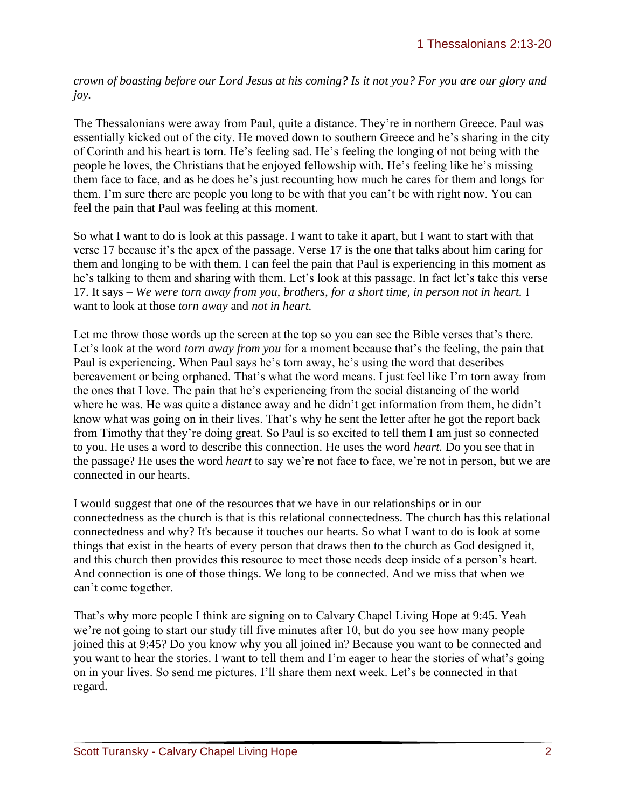*crown of boasting before our Lord Jesus at his coming? Is it not you? For you are our glory and joy.*

The Thessalonians were away from Paul, quite a distance. They're in northern Greece. Paul was essentially kicked out of the city. He moved down to southern Greece and he's sharing in the city of Corinth and his heart is torn. He's feeling sad. He's feeling the longing of not being with the people he loves, the Christians that he enjoyed fellowship with. He's feeling like he's missing them face to face, and as he does he's just recounting how much he cares for them and longs for them. I'm sure there are people you long to be with that you can't be with right now. You can feel the pain that Paul was feeling at this moment.

So what I want to do is look at this passage. I want to take it apart, but I want to start with that verse 17 because it's the apex of the passage. Verse 17 is the one that talks about him caring for them and longing to be with them. I can feel the pain that Paul is experiencing in this moment as he's talking to them and sharing with them. Let's look at this passage. In fact let's take this verse 17. It says – *We were torn away from you, brothers, for a short time, in person not in heart.* I want to look at those *torn away* and *not in heart.* 

Let me throw those words up the screen at the top so you can see the Bible verses that's there. Let's look at the word *torn away from you* for a moment because that's the feeling, the pain that Paul is experiencing. When Paul says he's torn away, he's using the word that describes bereavement or being orphaned. That's what the word means. I just feel like I'm torn away from the ones that I love. The pain that he's experiencing from the social distancing of the world where he was. He was quite a distance away and he didn't get information from them, he didn't know what was going on in their lives. That's why he sent the letter after he got the report back from Timothy that they're doing great. So Paul is so excited to tell them I am just so connected to you. He uses a word to describe this connection. He uses the word *heart.* Do you see that in the passage? He uses the word *heart* to say we're not face to face, we're not in person, but we are connected in our hearts.

I would suggest that one of the resources that we have in our relationships or in our connectedness as the church is that is this relational connectedness. The church has this relational connectedness and why? It's because it touches our hearts. So what I want to do is look at some things that exist in the hearts of every person that draws then to the church as God designed it, and this church then provides this resource to meet those needs deep inside of a person's heart. And connection is one of those things. We long to be connected. And we miss that when we can't come together.

That's why more people I think are signing on to Calvary Chapel Living Hope at 9:45. Yeah we're not going to start our study till five minutes after 10, but do you see how many people joined this at 9:45? Do you know why you all joined in? Because you want to be connected and you want to hear the stories. I want to tell them and I'm eager to hear the stories of what's going on in your lives. So send me pictures. I'll share them next week. Let's be connected in that regard.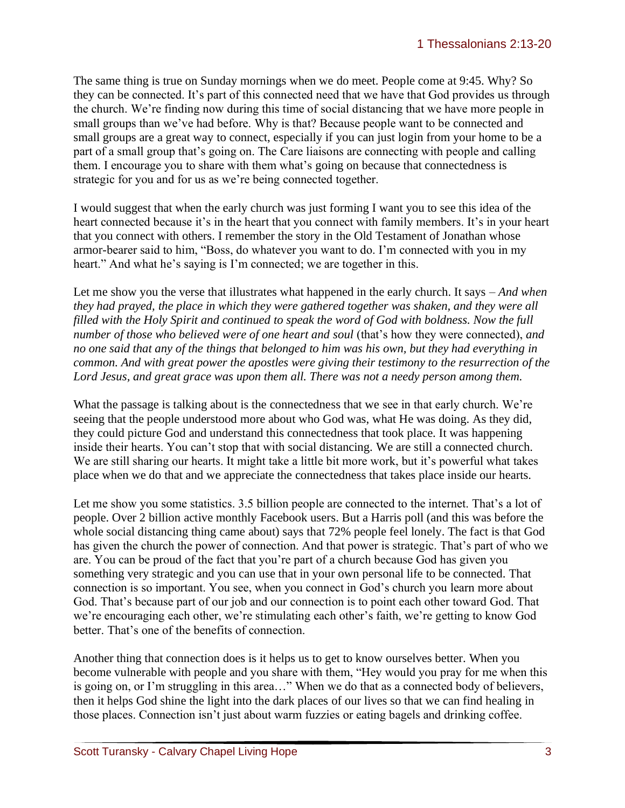The same thing is true on Sunday mornings when we do meet. People come at 9:45. Why? So they can be connected. It's part of this connected need that we have that God provides us through the church. We're finding now during this time of social distancing that we have more people in small groups than we've had before. Why is that? Because people want to be connected and small groups are a great way to connect, especially if you can just login from your home to be a part of a small group that's going on. The Care liaisons are connecting with people and calling them. I encourage you to share with them what's going on because that connectedness is strategic for you and for us as we're being connected together.

I would suggest that when the early church was just forming I want you to see this idea of the heart connected because it's in the heart that you connect with family members. It's in your heart that you connect with others. I remember the story in the Old Testament of Jonathan whose armor-bearer said to him, "Boss, do whatever you want to do. I'm connected with you in my heart." And what he's saying is I'm connected; we are together in this.

Let me show you the verse that illustrates what happened in the early church. It says – *And when they had prayed, the place in which they were gathered together was shaken, and they were all filled with the Holy Spirit and continued to speak the word of God with boldness. Now the full number of those who believed were of one heart and soul* (that's how they were connected), *and no one said that any of the things that belonged to him was his own, but they had everything in common. And with great power the apostles were giving their testimony to the resurrection of the Lord Jesus, and great grace was upon them all. There was not a needy person among them.* 

What the passage is talking about is the connectedness that we see in that early church. We're seeing that the people understood more about who God was, what He was doing. As they did, they could picture God and understand this connectedness that took place. It was happening inside their hearts. You can't stop that with social distancing. We are still a connected church. We are still sharing our hearts. It might take a little bit more work, but it's powerful what takes place when we do that and we appreciate the connectedness that takes place inside our hearts.

Let me show you some statistics. 3.5 billion people are connected to the internet. That's a lot of people. Over 2 billion active monthly Facebook users. But a Harris poll (and this was before the whole social distancing thing came about) says that 72% people feel lonely. The fact is that God has given the church the power of connection. And that power is strategic. That's part of who we are. You can be proud of the fact that you're part of a church because God has given you something very strategic and you can use that in your own personal life to be connected. That connection is so important. You see, when you connect in God's church you learn more about God. That's because part of our job and our connection is to point each other toward God. That we're encouraging each other, we're stimulating each other's faith, we're getting to know God better. That's one of the benefits of connection.

Another thing that connection does is it helps us to get to know ourselves better. When you become vulnerable with people and you share with them, "Hey would you pray for me when this is going on, or I'm struggling in this area…" When we do that as a connected body of believers, then it helps God shine the light into the dark places of our lives so that we can find healing in those places. Connection isn't just about warm fuzzies or eating bagels and drinking coffee.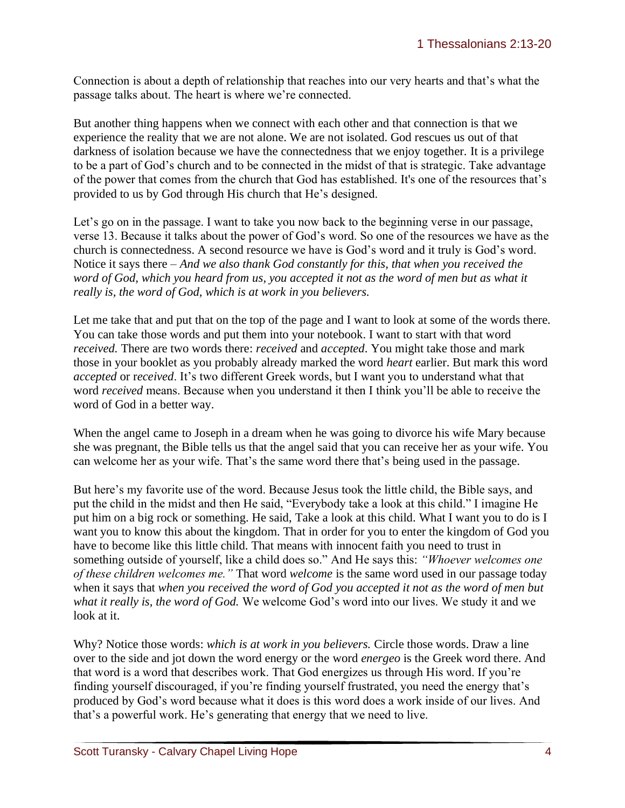Connection is about a depth of relationship that reaches into our very hearts and that's what the passage talks about. The heart is where we're connected.

But another thing happens when we connect with each other and that connection is that we experience the reality that we are not alone. We are not isolated. God rescues us out of that darkness of isolation because we have the connectedness that we enjoy together. It is a privilege to be a part of God's church and to be connected in the midst of that is strategic. Take advantage of the power that comes from the church that God has established. It's one of the resources that's provided to us by God through His church that He's designed.

Let's go on in the passage. I want to take you now back to the beginning verse in our passage, verse 13. Because it talks about the power of God's word. So one of the resources we have as the church is connectedness. A second resource we have is God's word and it truly is God's word. Notice it says there – *And we also thank God constantly for this, that when you received the word of God, which you heard from us, you accepted it not as the word of men but as what it really is, the word of God, which is at work in you believers.* 

Let me take that and put that on the top of the page and I want to look at some of the words there. You can take those words and put them into your notebook. I want to start with that word *received.* There are two words there: *received* and *accepted*. You might take those and mark those in your booklet as you probably already marked the word *heart* earlier. But mark this word *accepted* or r*eceived*. It's two different Greek words, but I want you to understand what that word *received* means. Because when you understand it then I think you'll be able to receive the word of God in a better way.

When the angel came to Joseph in a dream when he was going to divorce his wife Mary because she was pregnant, the Bible tells us that the angel said that you can receive her as your wife. You can welcome her as your wife. That's the same word there that's being used in the passage.

But here's my favorite use of the word. Because Jesus took the little child, the Bible says, and put the child in the midst and then He said, "Everybody take a look at this child." I imagine He put him on a big rock or something. He said, Take a look at this child. What I want you to do is I want you to know this about the kingdom. That in order for you to enter the kingdom of God you have to become like this little child. That means with innocent faith you need to trust in something outside of yourself, like a child does so." And He says this: *"Whoever welcomes one of these children welcomes me."* That word *welcome* is the same word used in our passage today when it says that *when you received the word of God you accepted it not as the word of men but what it really is, the word of God.* We welcome God's word into our lives. We study it and we look at it.

Why? Notice those words: *which is at work in you believers.* Circle those words. Draw a line over to the side and jot down the word energy or the word *energeo* is the Greek word there. And that word is a word that describes work. That God energizes us through His word. If you're finding yourself discouraged, if you're finding yourself frustrated, you need the energy that's produced by God's word because what it does is this word does a work inside of our lives. And that's a powerful work. He's generating that energy that we need to live.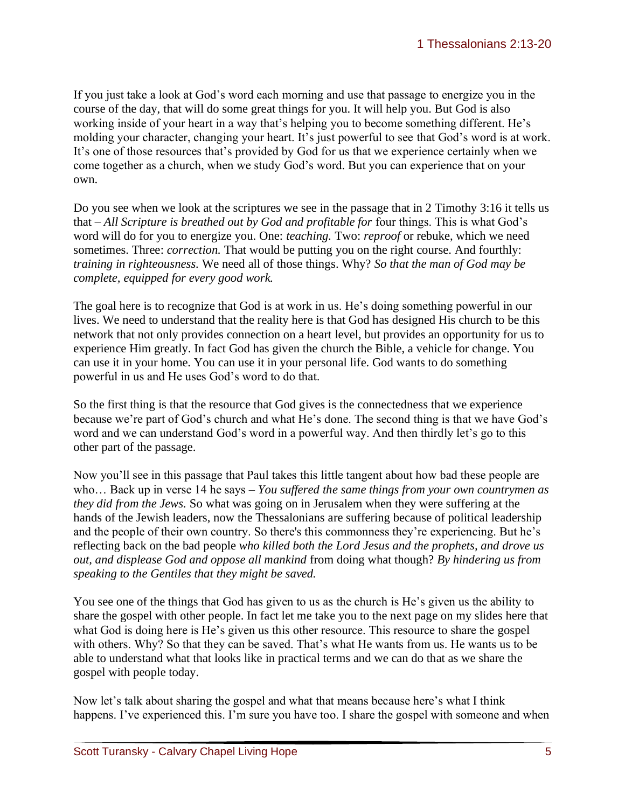If you just take a look at God's word each morning and use that passage to energize you in the course of the day, that will do some great things for you. It will help you. But God is also working inside of your heart in a way that's helping you to become something different. He's molding your character, changing your heart. It's just powerful to see that God's word is at work. It's one of those resources that's provided by God for us that we experience certainly when we come together as a church, when we study God's word. But you can experience that on your own.

Do you see when we look at the scriptures we see in the passage that in 2 Timothy 3:16 it tells us that – *All Scripture is breathed out by God and profitable for* four things. This is what God's word will do for you to energize you. One: *teaching.* Two: *reproof* or rebuke, which we need sometimes. Three: *correction*. That would be putting you on the right course. And fourthly: *training in righteousness.* We need all of those things. Why? *So that the man of God may be complete, equipped for every good work.* 

The goal here is to recognize that God is at work in us. He's doing something powerful in our lives. We need to understand that the reality here is that God has designed His church to be this network that not only provides connection on a heart level, but provides an opportunity for us to experience Him greatly. In fact God has given the church the Bible, a vehicle for change. You can use it in your home. You can use it in your personal life. God wants to do something powerful in us and He uses God's word to do that.

So the first thing is that the resource that God gives is the connectedness that we experience because we're part of God's church and what He's done. The second thing is that we have God's word and we can understand God's word in a powerful way. And then thirdly let's go to this other part of the passage.

Now you'll see in this passage that Paul takes this little tangent about how bad these people are who… Back up in verse 14 he says – *You suffered the same things from your own countrymen as they did from the Jews.* So what was going on in Jerusalem when they were suffering at the hands of the Jewish leaders, now the Thessalonians are suffering because of political leadership and the people of their own country. So there's this commonness they're experiencing. But he's reflecting back on the bad people *who killed both the Lord Jesus and the prophets, and drove us out, and displease God and oppose all mankind* from doing what though? *By hindering us from speaking to the Gentiles that they might be saved.* 

You see one of the things that God has given to us as the church is He's given us the ability to share the gospel with other people. In fact let me take you to the next page on my slides here that what God is doing here is He's given us this other resource. This resource to share the gospel with others. Why? So that they can be saved. That's what He wants from us. He wants us to be able to understand what that looks like in practical terms and we can do that as we share the gospel with people today.

Now let's talk about sharing the gospel and what that means because here's what I think happens. I've experienced this. I'm sure you have too. I share the gospel with someone and when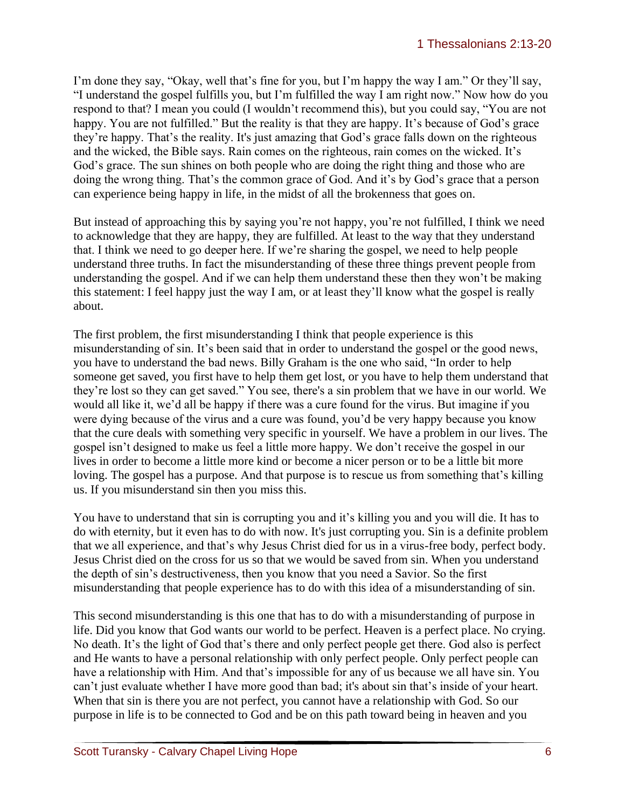I'm done they say, "Okay, well that's fine for you, but I'm happy the way I am." Or they'll say, "I understand the gospel fulfills you, but I'm fulfilled the way I am right now." Now how do you respond to that? I mean you could (I wouldn't recommend this), but you could say, "You are not happy. You are not fulfilled." But the reality is that they are happy. It's because of God's grace they're happy. That's the reality. It's just amazing that God's grace falls down on the righteous and the wicked, the Bible says. Rain comes on the righteous, rain comes on the wicked. It's God's grace. The sun shines on both people who are doing the right thing and those who are doing the wrong thing. That's the common grace of God. And it's by God's grace that a person can experience being happy in life, in the midst of all the brokenness that goes on.

But instead of approaching this by saying you're not happy, you're not fulfilled, I think we need to acknowledge that they are happy, they are fulfilled. At least to the way that they understand that. I think we need to go deeper here. If we're sharing the gospel, we need to help people understand three truths. In fact the misunderstanding of these three things prevent people from understanding the gospel. And if we can help them understand these then they won't be making this statement: I feel happy just the way I am, or at least they'll know what the gospel is really about.

The first problem, the first misunderstanding I think that people experience is this misunderstanding of sin. It's been said that in order to understand the gospel or the good news, you have to understand the bad news. Billy Graham is the one who said, "In order to help someone get saved, you first have to help them get lost, or you have to help them understand that they're lost so they can get saved." You see, there's a sin problem that we have in our world. We would all like it, we'd all be happy if there was a cure found for the virus. But imagine if you were dying because of the virus and a cure was found, you'd be very happy because you know that the cure deals with something very specific in yourself. We have a problem in our lives. The gospel isn't designed to make us feel a little more happy. We don't receive the gospel in our lives in order to become a little more kind or become a nicer person or to be a little bit more loving. The gospel has a purpose. And that purpose is to rescue us from something that's killing us. If you misunderstand sin then you miss this.

You have to understand that sin is corrupting you and it's killing you and you will die. It has to do with eternity, but it even has to do with now. It's just corrupting you. Sin is a definite problem that we all experience, and that's why Jesus Christ died for us in a virus-free body, perfect body. Jesus Christ died on the cross for us so that we would be saved from sin. When you understand the depth of sin's destructiveness, then you know that you need a Savior. So the first misunderstanding that people experience has to do with this idea of a misunderstanding of sin.

This second misunderstanding is this one that has to do with a misunderstanding of purpose in life. Did you know that God wants our world to be perfect. Heaven is a perfect place. No crying. No death. It's the light of God that's there and only perfect people get there. God also is perfect and He wants to have a personal relationship with only perfect people. Only perfect people can have a relationship with Him. And that's impossible for any of us because we all have sin. You can't just evaluate whether I have more good than bad; it's about sin that's inside of your heart. When that sin is there you are not perfect, you cannot have a relationship with God. So our purpose in life is to be connected to God and be on this path toward being in heaven and you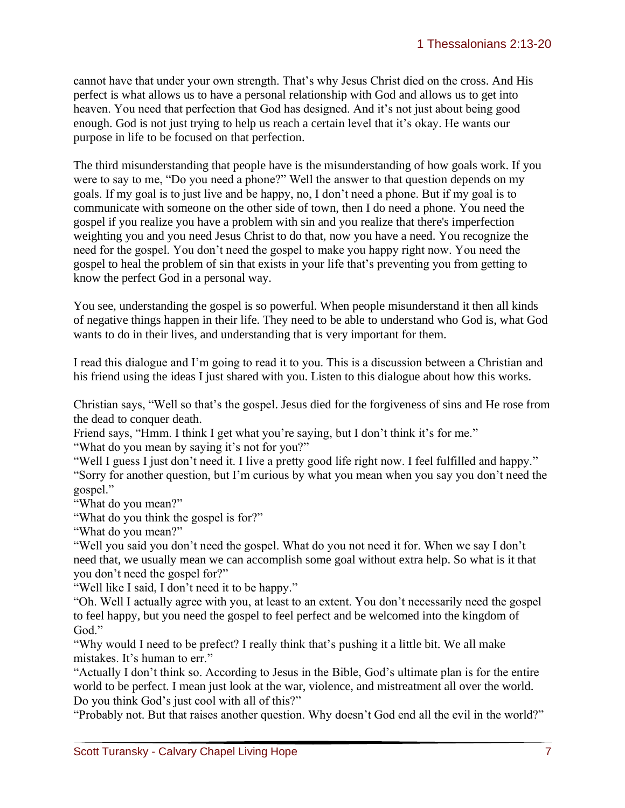cannot have that under your own strength. That's why Jesus Christ died on the cross. And His perfect is what allows us to have a personal relationship with God and allows us to get into heaven. You need that perfection that God has designed. And it's not just about being good enough. God is not just trying to help us reach a certain level that it's okay. He wants our purpose in life to be focused on that perfection.

The third misunderstanding that people have is the misunderstanding of how goals work. If you were to say to me, "Do you need a phone?" Well the answer to that question depends on my goals. If my goal is to just live and be happy, no, I don't need a phone. But if my goal is to communicate with someone on the other side of town, then I do need a phone. You need the gospel if you realize you have a problem with sin and you realize that there's imperfection weighting you and you need Jesus Christ to do that, now you have a need. You recognize the need for the gospel. You don't need the gospel to make you happy right now. You need the gospel to heal the problem of sin that exists in your life that's preventing you from getting to know the perfect God in a personal way.

You see, understanding the gospel is so powerful. When people misunderstand it then all kinds of negative things happen in their life. They need to be able to understand who God is, what God wants to do in their lives, and understanding that is very important for them.

I read this dialogue and I'm going to read it to you. This is a discussion between a Christian and his friend using the ideas I just shared with you. Listen to this dialogue about how this works.

Christian says, "Well so that's the gospel. Jesus died for the forgiveness of sins and He rose from the dead to conquer death.

Friend says, "Hmm. I think I get what you're saying, but I don't think it's for me." "What do you mean by saying it's not for you?"

"Well I guess I just don't need it. I live a pretty good life right now. I feel fulfilled and happy." "Sorry for another question, but I'm curious by what you mean when you say you don't need the gospel."

"What do you mean?"

"What do you think the gospel is for?"

"What do you mean?"

"Well you said you don't need the gospel. What do you not need it for. When we say I don't need that, we usually mean we can accomplish some goal without extra help. So what is it that you don't need the gospel for?"

"Well like I said, I don't need it to be happy."

"Oh. Well I actually agree with you, at least to an extent. You don't necessarily need the gospel to feel happy, but you need the gospel to feel perfect and be welcomed into the kingdom of God."

"Why would I need to be prefect? I really think that's pushing it a little bit. We all make mistakes. It's human to err."

"Actually I don't think so. According to Jesus in the Bible, God's ultimate plan is for the entire world to be perfect. I mean just look at the war, violence, and mistreatment all over the world. Do you think God's just cool with all of this?"

"Probably not. But that raises another question. Why doesn't God end all the evil in the world?"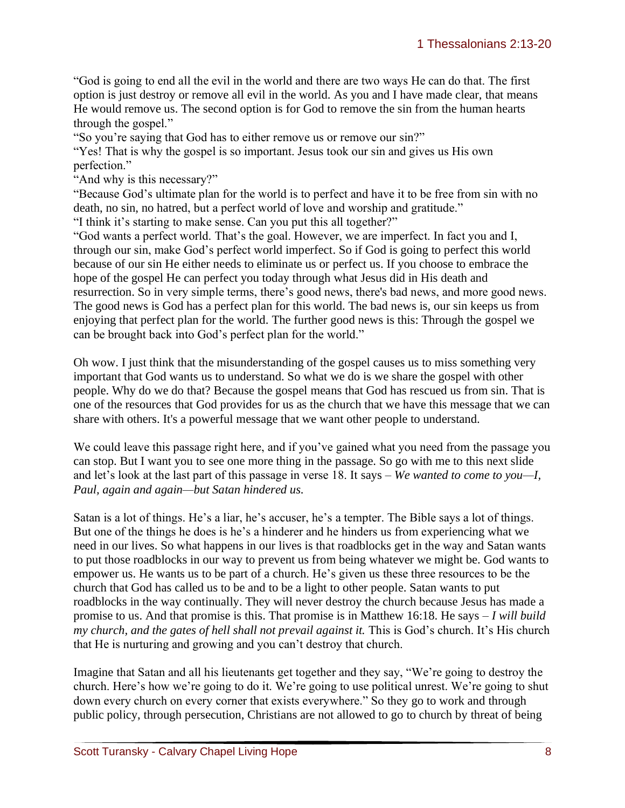"God is going to end all the evil in the world and there are two ways He can do that. The first option is just destroy or remove all evil in the world. As you and I have made clear, that means He would remove us. The second option is for God to remove the sin from the human hearts through the gospel."

"So you're saying that God has to either remove us or remove our sin?"

"Yes! That is why the gospel is so important. Jesus took our sin and gives us His own perfection."

"And why is this necessary?"

"Because God's ultimate plan for the world is to perfect and have it to be free from sin with no death, no sin, no hatred, but a perfect world of love and worship and gratitude." "I think it's starting to make sense. Can you put this all together?"

"God wants a perfect world. That's the goal. However, we are imperfect. In fact you and I, through our sin, make God's perfect world imperfect. So if God is going to perfect this world because of our sin He either needs to eliminate us or perfect us. If you choose to embrace the hope of the gospel He can perfect you today through what Jesus did in His death and resurrection. So in very simple terms, there's good news, there's bad news, and more good news. The good news is God has a perfect plan for this world. The bad news is, our sin keeps us from enjoying that perfect plan for the world. The further good news is this: Through the gospel we can be brought back into God's perfect plan for the world."

Oh wow. I just think that the misunderstanding of the gospel causes us to miss something very important that God wants us to understand. So what we do is we share the gospel with other people. Why do we do that? Because the gospel means that God has rescued us from sin. That is one of the resources that God provides for us as the church that we have this message that we can share with others. It's a powerful message that we want other people to understand.

We could leave this passage right here, and if you've gained what you need from the passage you can stop. But I want you to see one more thing in the passage. So go with me to this next slide and let's look at the last part of this passage in verse 18. It says – *We wanted to come to you—I, Paul, again and again—but Satan hindered us.* 

Satan is a lot of things. He's a liar, he's accuser, he's a tempter. The Bible says a lot of things. But one of the things he does is he's a hinderer and he hinders us from experiencing what we need in our lives. So what happens in our lives is that roadblocks get in the way and Satan wants to put those roadblocks in our way to prevent us from being whatever we might be. God wants to empower us. He wants us to be part of a church. He's given us these three resources to be the church that God has called us to be and to be a light to other people. Satan wants to put roadblocks in the way continually. They will never destroy the church because Jesus has made a promise to us. And that promise is this. That promise is in Matthew 16:18. He says – *I will build my church, and the gates of hell shall not prevail against it. This is God's church. It's His church* that He is nurturing and growing and you can't destroy that church.

Imagine that Satan and all his lieutenants get together and they say, "We're going to destroy the church. Here's how we're going to do it. We're going to use political unrest. We're going to shut down every church on every corner that exists everywhere." So they go to work and through public policy, through persecution, Christians are not allowed to go to church by threat of being